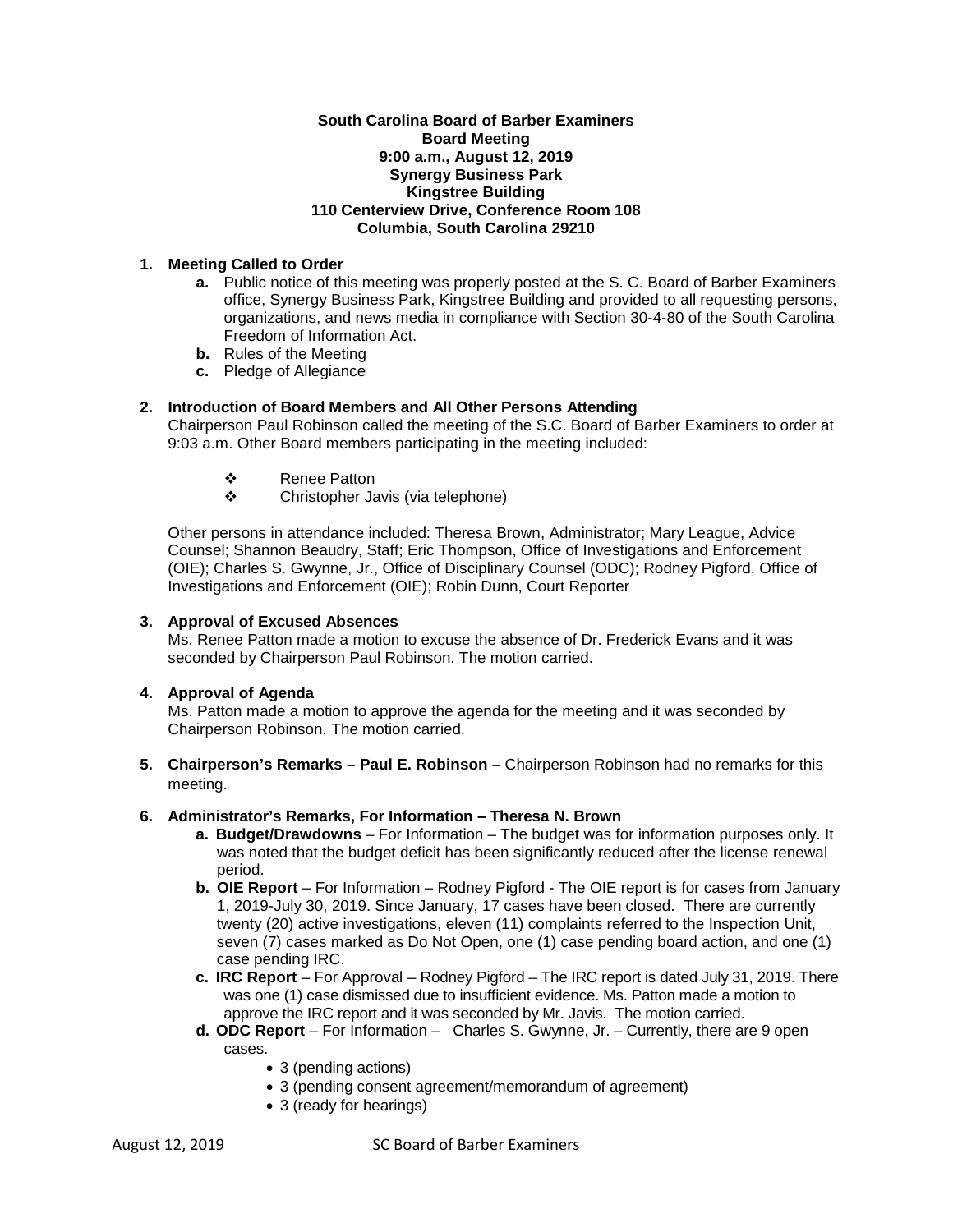## **South Carolina Board of Barber Examiners Board Meeting 9:00 a.m., August 12, 2019 Synergy Business Park Kingstree Building 110 Centerview Drive, Conference Room 108 Columbia, South Carolina 29210**

# **1. Meeting Called to Order**

- **a.** Public notice of this meeting was properly posted at the S. C. Board of Barber Examiners office, Synergy Business Park, Kingstree Building and provided to all requesting persons, organizations, and news media in compliance with Section 30-4-80 of the South Carolina Freedom of Information Act.
- **b.** Rules of the Meeting
- **c.** Pledge of Allegiance

# **2. Introduction of Board Members and All Other Persons Attending**

Chairperson Paul Robinson called the meeting of the S.C. Board of Barber Examiners to order at 9:03 a.m. Other Board members participating in the meeting included:

- ❖ Renee Patton<br>❖ Christopher Ja
- Christopher Javis (via telephone)

Other persons in attendance included: Theresa Brown, Administrator; Mary League, Advice Counsel; Shannon Beaudry, Staff; Eric Thompson, Office of Investigations and Enforcement (OIE); Charles S. Gwynne, Jr., Office of Disciplinary Counsel (ODC); Rodney Pigford, Office of Investigations and Enforcement (OIE); Robin Dunn, Court Reporter

## **3. Approval of Excused Absences**

Ms. Renee Patton made a motion to excuse the absence of Dr. Frederick Evans and it was seconded by Chairperson Paul Robinson. The motion carried.

## **4. Approval of Agenda**

Ms. Patton made a motion to approve the agenda for the meeting and it was seconded by Chairperson Robinson. The motion carried.

**5. Chairperson's Remarks – Paul E. Robinson –** Chairperson Robinson had no remarks for this meeting.

## **6. Administrator's Remarks, For Information – Theresa N. Brown**

- **a. Budget/Drawdowns** For Information The budget was for information purposes only. It was noted that the budget deficit has been significantly reduced after the license renewal period.
- **b. OIE Report** For Information Rodney Pigford The OIE report is for cases from January 1, 2019-July 30, 2019. Since January, 17 cases have been closed. There are currently twenty (20) active investigations, eleven (11) complaints referred to the Inspection Unit, seven (7) cases marked as Do Not Open, one (1) case pending board action, and one (1) case pending IRC.
- **c. IRC Report**  For Approval Rodney Pigford The IRC report is dated July 31, 2019. There was one (1) case dismissed due to insufficient evidence. Ms. Patton made a motion to approve the IRC report and it was seconded by Mr. Javis. The motion carried.
- **d. ODC Report**  For Information Charles S. Gwynne, Jr. Currently, there are 9 open cases.
	- 3 (pending actions)
	- 3 (pending consent agreement/memorandum of agreement)
	- 3 (ready for hearings)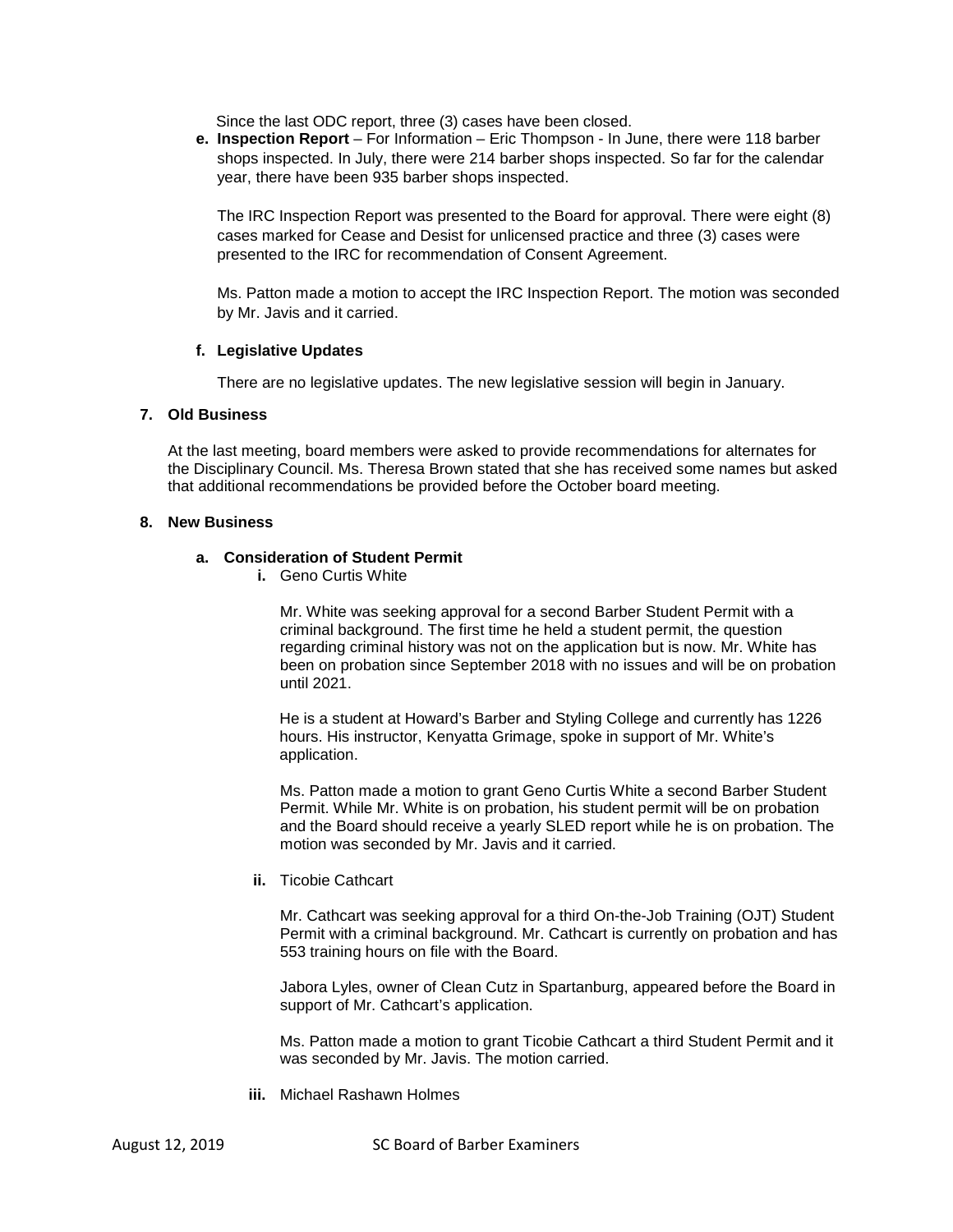Since the last ODC report, three (3) cases have been closed.

**e. Inspection Report** – For Information – Eric Thompson - In June, there were 118 barber shops inspected. In July, there were 214 barber shops inspected. So far for the calendar year, there have been 935 barber shops inspected.

The IRC Inspection Report was presented to the Board for approval. There were eight (8) cases marked for Cease and Desist for unlicensed practice and three (3) cases were presented to the IRC for recommendation of Consent Agreement.

Ms. Patton made a motion to accept the IRC Inspection Report. The motion was seconded by Mr. Javis and it carried.

### **f. Legislative Updates**

There are no legislative updates. The new legislative session will begin in January.

## **7. Old Business**

At the last meeting, board members were asked to provide recommendations for alternates for the Disciplinary Council. Ms. Theresa Brown stated that she has received some names but asked that additional recommendations be provided before the October board meeting.

#### **8. New Business**

#### **a. Consideration of Student Permit**

**i.** Geno Curtis White

Mr. White was seeking approval for a second Barber Student Permit with a criminal background. The first time he held a student permit, the question regarding criminal history was not on the application but is now. Mr. White has been on probation since September 2018 with no issues and will be on probation until 2021.

He is a student at Howard's Barber and Styling College and currently has 1226 hours. His instructor, Kenyatta Grimage, spoke in support of Mr. White's application.

Ms. Patton made a motion to grant Geno Curtis White a second Barber Student Permit. While Mr. White is on probation, his student permit will be on probation and the Board should receive a yearly SLED report while he is on probation. The motion was seconded by Mr. Javis and it carried.

#### **ii.** Ticobie Cathcart

Mr. Cathcart was seeking approval for a third On-the-Job Training (OJT) Student Permit with a criminal background. Mr. Cathcart is currently on probation and has 553 training hours on file with the Board.

Jabora Lyles, owner of Clean Cutz in Spartanburg, appeared before the Board in support of Mr. Cathcart's application.

Ms. Patton made a motion to grant Ticobie Cathcart a third Student Permit and it was seconded by Mr. Javis. The motion carried.

**iii.** Michael Rashawn Holmes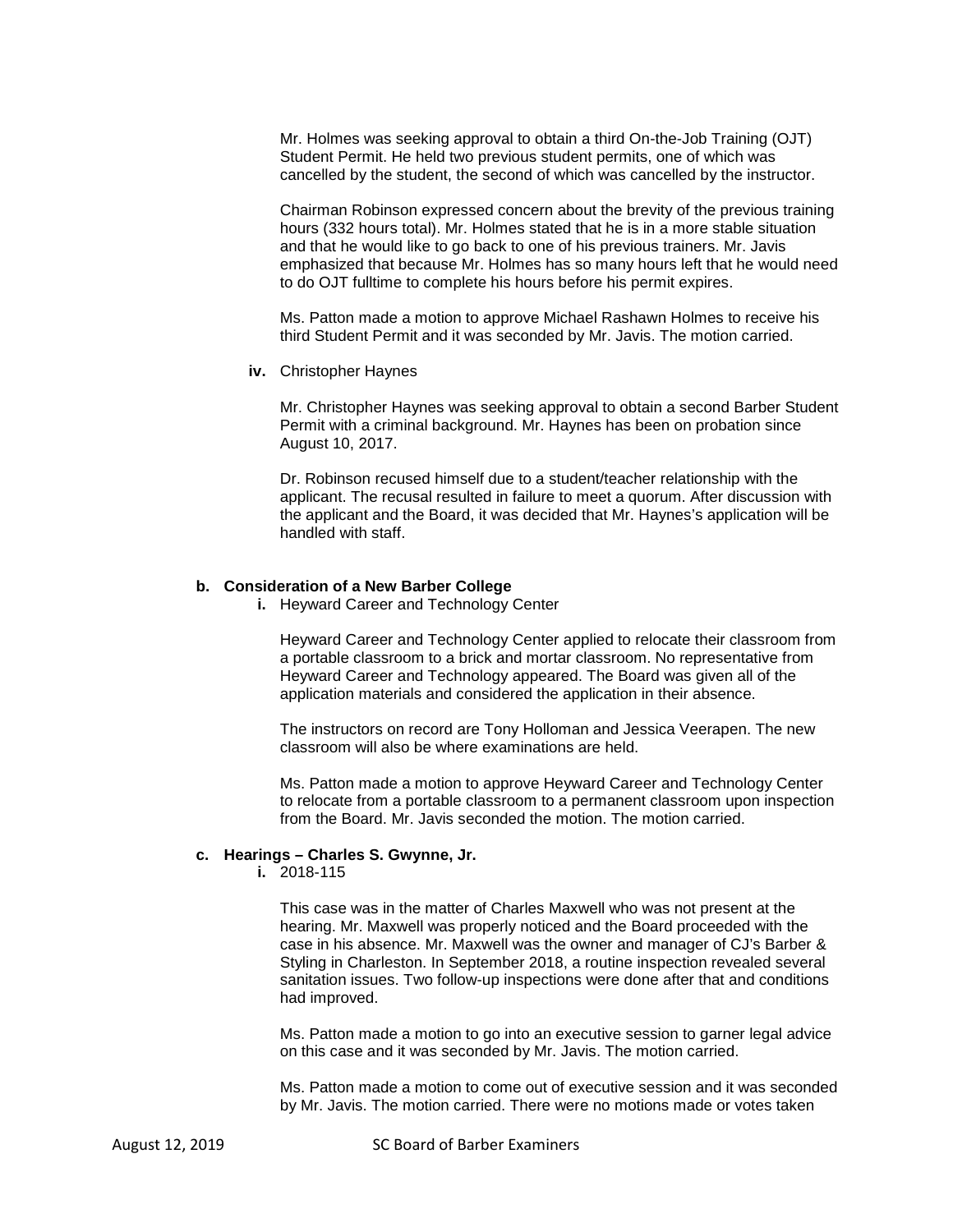Mr. Holmes was seeking approval to obtain a third On-the-Job Training (OJT) Student Permit. He held two previous student permits, one of which was cancelled by the student, the second of which was cancelled by the instructor.

Chairman Robinson expressed concern about the brevity of the previous training hours (332 hours total). Mr. Holmes stated that he is in a more stable situation and that he would like to go back to one of his previous trainers. Mr. Javis emphasized that because Mr. Holmes has so many hours left that he would need to do OJT fulltime to complete his hours before his permit expires.

Ms. Patton made a motion to approve Michael Rashawn Holmes to receive his third Student Permit and it was seconded by Mr. Javis. The motion carried.

**iv.** Christopher Haynes

Mr. Christopher Haynes was seeking approval to obtain a second Barber Student Permit with a criminal background. Mr. Haynes has been on probation since August 10, 2017.

Dr. Robinson recused himself due to a student/teacher relationship with the applicant. The recusal resulted in failure to meet a quorum. After discussion with the applicant and the Board, it was decided that Mr. Haynes's application will be handled with staff.

#### **b. Consideration of a New Barber College**

**i.** Heyward Career and Technology Center

Heyward Career and Technology Center applied to relocate their classroom from a portable classroom to a brick and mortar classroom. No representative from Heyward Career and Technology appeared. The Board was given all of the application materials and considered the application in their absence.

The instructors on record are Tony Holloman and Jessica Veerapen. The new classroom will also be where examinations are held.

Ms. Patton made a motion to approve Heyward Career and Technology Center to relocate from a portable classroom to a permanent classroom upon inspection from the Board. Mr. Javis seconded the motion. The motion carried.

#### **c. Hearings – Charles S. Gwynne, Jr.**

**i.** 2018-115

This case was in the matter of Charles Maxwell who was not present at the hearing. Mr. Maxwell was properly noticed and the Board proceeded with the case in his absence. Mr. Maxwell was the owner and manager of CJ's Barber & Styling in Charleston. In September 2018, a routine inspection revealed several sanitation issues. Two follow-up inspections were done after that and conditions had improved.

Ms. Patton made a motion to go into an executive session to garner legal advice on this case and it was seconded by Mr. Javis. The motion carried.

Ms. Patton made a motion to come out of executive session and it was seconded by Mr. Javis. The motion carried. There were no motions made or votes taken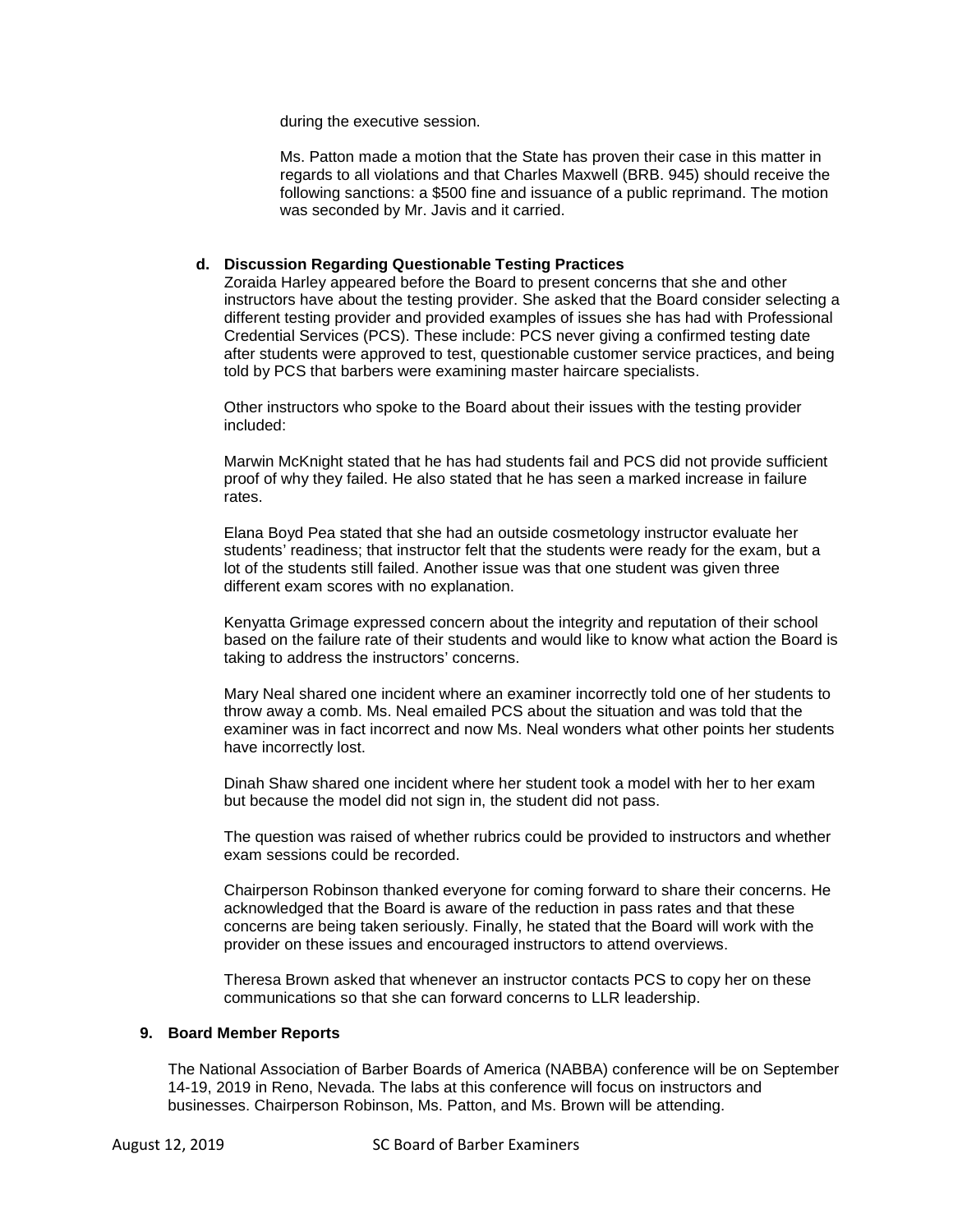during the executive session.

Ms. Patton made a motion that the State has proven their case in this matter in regards to all violations and that Charles Maxwell (BRB. 945) should receive the following sanctions: a \$500 fine and issuance of a public reprimand. The motion was seconded by Mr. Javis and it carried.

# **d. Discussion Regarding Questionable Testing Practices**

Zoraida Harley appeared before the Board to present concerns that she and other instructors have about the testing provider. She asked that the Board consider selecting a different testing provider and provided examples of issues she has had with Professional Credential Services (PCS). These include: PCS never giving a confirmed testing date after students were approved to test, questionable customer service practices, and being told by PCS that barbers were examining master haircare specialists.

Other instructors who spoke to the Board about their issues with the testing provider included:

Marwin McKnight stated that he has had students fail and PCS did not provide sufficient proof of why they failed. He also stated that he has seen a marked increase in failure rates.

Elana Boyd Pea stated that she had an outside cosmetology instructor evaluate her students' readiness; that instructor felt that the students were ready for the exam, but a lot of the students still failed. Another issue was that one student was given three different exam scores with no explanation.

Kenyatta Grimage expressed concern about the integrity and reputation of their school based on the failure rate of their students and would like to know what action the Board is taking to address the instructors' concerns.

Mary Neal shared one incident where an examiner incorrectly told one of her students to throw away a comb. Ms. Neal emailed PCS about the situation and was told that the examiner was in fact incorrect and now Ms. Neal wonders what other points her students have incorrectly lost.

Dinah Shaw shared one incident where her student took a model with her to her exam but because the model did not sign in, the student did not pass.

The question was raised of whether rubrics could be provided to instructors and whether exam sessions could be recorded.

Chairperson Robinson thanked everyone for coming forward to share their concerns. He acknowledged that the Board is aware of the reduction in pass rates and that these concerns are being taken seriously. Finally, he stated that the Board will work with the provider on these issues and encouraged instructors to attend overviews.

Theresa Brown asked that whenever an instructor contacts PCS to copy her on these communications so that she can forward concerns to LLR leadership.

## **9. Board Member Reports**

The National Association of Barber Boards of America (NABBA) conference will be on September 14-19, 2019 in Reno, Nevada. The labs at this conference will focus on instructors and businesses. Chairperson Robinson, Ms. Patton, and Ms. Brown will be attending.